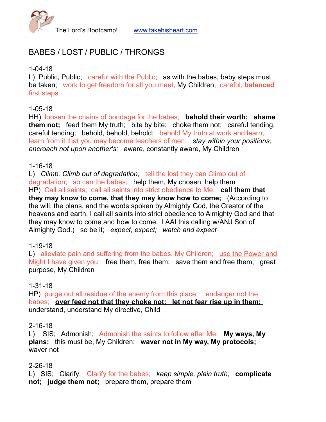

# BABES / LOST / PUBLIC / THRONGS

# 1-04-18

L) Public, Public; careful with the Public; as with the babes, baby steps must be taken; work to get freedom for all you meet, My Children; careful, **balanced** first steps

# 1-05-18

HH) loosen the chains of bondage for the babes; **behold their worth; shame them not;** feed them My truth; bite by bite; choke them not; careful tending, careful tending; behold, behold, behold; behold My truth at work and learn, learn from it that you may become teachers of men; *stay within your positions; encroach not upon another's;* aware, constantly aware, My Children

#### 1-16-18

L) *Climb, Climb out of degradation;* tell the lost they can Climb out of degradation; so can the babes; help them, My chosen, help them HP) Call all saints; call all saints into strict obedience to Me; **call them that they may know to come, that they may know how to come;** (According to the will, the plans, and the words spoken by Almighty God, the Creator of the heavens and earth, I call all saints into strict obedience to Almighty God and that they may know to come and how to come. I AAI this calling w/ANJ Son of Almighty God.) so be it; *expect, expect; watch and expect*

# 1-19-18

L) alleviate pain and suffering from the babes, My Children; use the Power and Might I have given you; free them, free them; save them and free them; great purpose, My Children

# 1-31-18

HP) purge out all residue of the enemy from this place; endanger not the babes; **over feed not that they choke not; let not fear rise up in them;**  understand, understand My directive, Child

#### 2-16-18

L) SIS; Admonish; Admonish the saints to follow after Me; **My ways, My plans;** this must be, My Children; **waver not in My way, My protocols;** waver not

# 2-26-18

L) SIS; Clarify; Clarify for the babes; *keep simple, plain truth;* **complicate not; judge them not;** prepare them, prepare them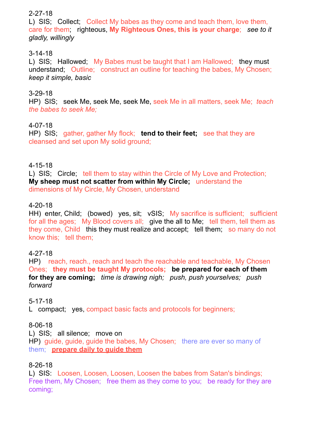# 2-27-18

L) SIS; Collect; Collect My babes as they come and teach them, love them, care for them; righteous, **My Righteous Ones, this is your charge**; *see to it gladly, willingly*

## 3-14-18

L) SIS; Hallowed; My Babes must be taught that I am Hallowed; they must understand; Outline; construct an outline for teaching the babes, My Chosen; *keep it simple, basic*

#### 3-29-18

HP) SIS; seek Me, seek Me, seek Me, seek Me in all matters, seek Me; *teach the babes to seek Me;* 

# 4-07-18

HP) SIS; gather, gather My flock; **tend to their feet;** see that they are cleansed and set upon My solid ground;

#### 4-15-18

L) SIS; Circle; tell them to stay within the Circle of My Love and Protection; **My sheep must not scatter from within My Circle;** understand the dimensions of My Circle, My Chosen, understand

#### 4-20-18

HH) enter, Child; (bowed) yes, sit; vSIS; My sacrifice is sufficient; sufficient for all the ages; My Blood covers all; give the all to Me; tell them, tell them as they come, Child this they must realize and accept; tell them; so many do not know this; tell them;

# 4-27-18

HP) reach, reach., reach and teach the reachable and teachable, My Chosen Ones; **they must be taught My protocols; be prepared for each of them for they are coming;** *time is drawing nigh; push, push yourselves; push forward*

#### 5-17-18

L compact; yes, compact basic facts and protocols for beginners;

#### 8-06-18

L) SIS; all silence; move on HP) guide, guide, guide the babes, My Chosen; there are ever so many of them; **prepare daily to guide them**

# 8-26-18

L) SIS: Loosen, Loosen, Loosen, Loosen the babes from Satan's bindings; Free them, My Chosen; free them as they come to you; be ready for they are coming;